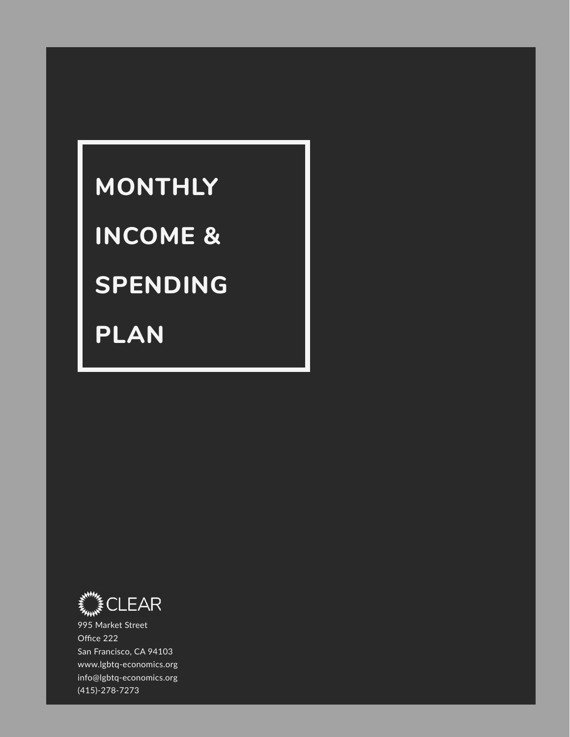# **MONTHLY**

## **INCOME &**

# **SPENDING**

**PLAN**



995 Market Street Office 222 San Francisco, CA 94103 www.lgbtq-economics.org info@lgbtq-economics.org (415)-278-7273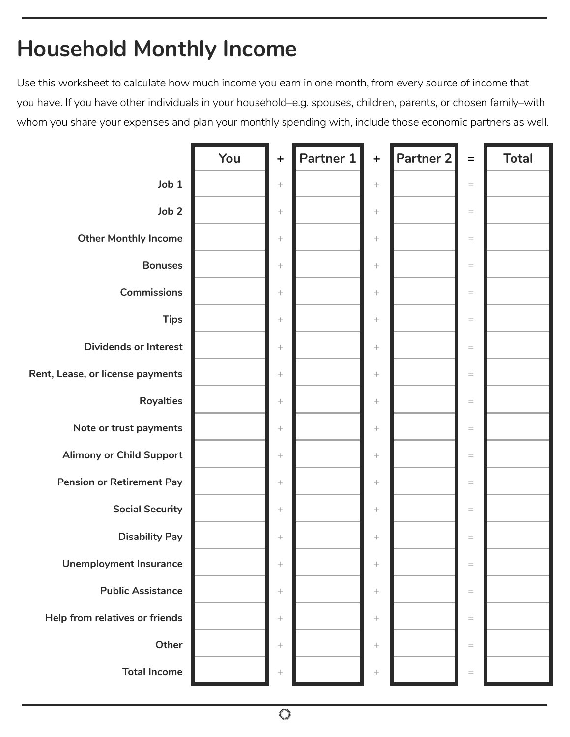#### **Household Monthly Income**

Use this worksheet to calculate how much income you earn in one month, from every source of income that you have. If you have other individuals in your household–e.g. spouses, children, parents, or chosen family–with whom you share your expenses and plan your monthly spending with, include those economic partners as well.

|                                  | You | $+$              | Partner 1 | $\ddot{\phantom{1}}$ | Partner 2 | $\qquad \qquad =$                 | <b>Total</b> |
|----------------------------------|-----|------------------|-----------|----------------------|-----------|-----------------------------------|--------------|
| Job 1                            |     | $\! +$           |           | $\! +$               |           | $\qquad \qquad =$                 |              |
| Job <sub>2</sub>                 |     | $\! +$           |           | $\! +$               |           | $\equiv$                          |              |
| <b>Other Monthly Income</b>      |     | $\! +$           |           | $\! +$               |           | $\equiv$                          |              |
| <b>Bonuses</b>                   |     | $\! +$           |           | $\! +$               |           | $\equiv$                          |              |
| <b>Commissions</b>               |     | $\! +$           |           | $\boldsymbol{+}$     |           | $\equiv$                          |              |
| <b>Tips</b>                      |     | $\! +$           |           | $\! +$               |           | $\quad \  \  =$                   |              |
| <b>Dividends or Interest</b>     |     | $\! +$           |           | $\! +$               |           | $\equiv$                          |              |
| Rent, Lease, or license payments |     |                  |           | $\! + \!\!\!\!$      |           | $\qquad \qquad =$                 |              |
| <b>Royalties</b>                 |     | $\! +$           |           | $\! +$               |           | $\equiv$                          |              |
| Note or trust payments           |     | $\! +$           |           | $\! +$               |           | $\hspace{1.6cm} = \hspace{1.6cm}$ |              |
| <b>Alimony or Child Support</b>  |     | $\! +$           |           | $\! +$               |           | $\quad =$                         |              |
| <b>Pension or Retirement Pay</b> |     | $\! +$           |           | $\! +$               |           | $\equiv$                          |              |
| <b>Social Security</b>           |     | $\! +$           |           | $\boldsymbol{+}$     |           | $\quad \  \  =$                   |              |
| <b>Disability Pay</b>            |     | $\! +$           |           | $\! +$               |           | $\equiv$                          |              |
| <b>Unemployment Insurance</b>    |     |                  |           | $^{+}$               |           | $=$                               |              |
| <b>Public Assistance</b>         |     | $\! +$           |           | $\boldsymbol{+}$     |           | $\quad \  \  =$                   |              |
| Help from relatives or friends   |     | $\boldsymbol{+}$ |           | $\boldsymbol{+}$     |           | $\equiv$                          |              |
| Other                            |     | $\! +$           |           | $\! +$               |           | $\hspace{1.6cm} = \hspace{1.6cm}$ |              |
| <b>Total Income</b>              |     | $\boldsymbol{+}$ |           | $\boldsymbol{+}$     |           | $\equiv$                          |              |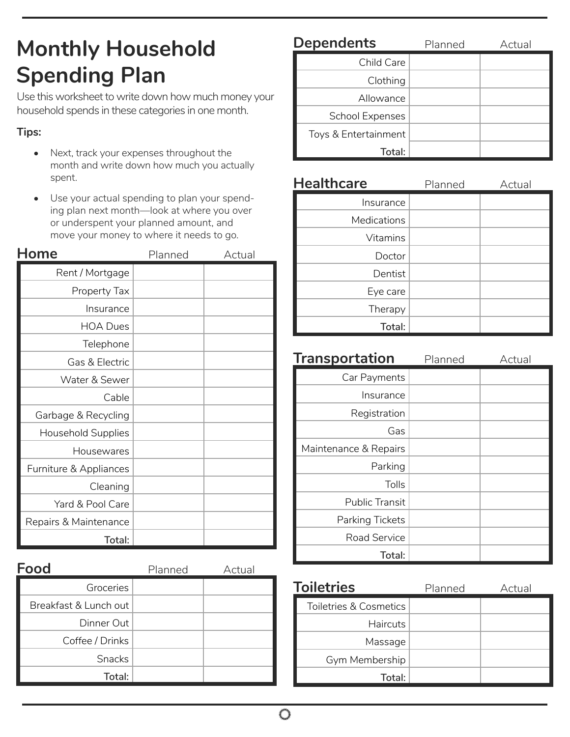### **Monthly Household Spending Plan**

Use this worksheet to write down how much money your household spends in these categories in one month.

#### **Tips:**

- Next, track your expenses throughout the month and write down how much you actually spent.
- Use your actual spending to plan your spending plan next month—look at where you over or underspent your planned amount, and move your money to where it needs to go.

| Home                      | Planned | Actual |
|---------------------------|---------|--------|
| Rent / Mortgage           |         |        |
| Property Tax              |         |        |
| Insurance                 |         |        |
| <b>HOA Dues</b>           |         |        |
| Telephone                 |         |        |
| Gas & Electric            |         |        |
| Water & Sewer             |         |        |
| Cable                     |         |        |
| Garbage & Recycling       |         |        |
| <b>Household Supplies</b> |         |        |
| Housewares                |         |        |
| Furniture & Appliances    |         |        |
| Cleaning                  |         |        |
| Yard & Pool Care          |         |        |
| Repairs & Maintenance     |         |        |
| Total:                    |         |        |

| Food                  | Planned | Actual |
|-----------------------|---------|--------|
| Groceries             |         |        |
| Breakfast & Lunch out |         |        |
| Dinner Out            |         |        |
| Coffee / Drinks       |         |        |
| <b>Snacks</b>         |         |        |
| Total:                |         |        |

| <b>Dependents</b>      | Planned | Actual |
|------------------------|---------|--------|
| Child Care             |         |        |
| Clothing               |         |        |
| Allowance              |         |        |
| <b>School Expenses</b> |         |        |
| Toys & Entertainment   |         |        |
| Total:                 |         |        |

| <b>Healthcare</b>  | Planned | Actual |
|--------------------|---------|--------|
| Insurance          |         |        |
| <b>Medications</b> |         |        |
| <b>Vitamins</b>    |         |        |
| Doctor             |         |        |
| Dentist            |         |        |
| Eye care           |         |        |
| Therapy            |         |        |
| Total:             |         |        |

| <b>Transportation</b> | Planned | Actual |
|-----------------------|---------|--------|
| Car Payments          |         |        |
| Insurance             |         |        |
| Registration          |         |        |
| Gas                   |         |        |
| Maintenance & Repairs |         |        |
| Parking               |         |        |
| Tolls                 |         |        |
| <b>Public Transit</b> |         |        |
| Parking Tickets       |         |        |
| Road Service          |         |        |
| Total:                |         |        |

| <b>Toiletries</b>      | Planned | Actual |
|------------------------|---------|--------|
| Toiletries & Cosmetics |         |        |
| <b>Haircuts</b>        |         |        |
| Massage                |         |        |
| Gym Membership         |         |        |
| Total:                 |         |        |

€